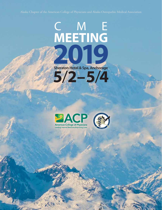# C M E **MEETING 2000**<br>Sheraton Hotel & Spa, Anchorage **Sheraton Hotel & Spa, Anchorage 5**/**2–5**/**4**



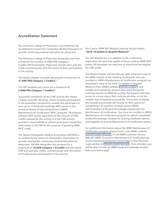## **Accreditation Statement**

The American College of Physicians is accredited by the Accreditation Council for Continuing Medical Education to provide continuing medical education for physicians.

The American College of Physicians designates each live activity for the number of AMA PRA Category 1 Credit(s)TM listed below. Physicians should claim only the credit commensurate with the extent of their participation in the activity.

The Alaska Chapter Scientific Meeting for a maximum of **17** *AMA PRA Category 1 Credit(s)*™.

#### The SEP modules pre course, for a maximum of **2** *AMA PRA Category 1 Credit(s)*™.

Successful completion of this CME activity (the Alaska Chapter Scientific Meeting), which includes participation in the evaluation component, enables the participant to earn up to 17 medical knowledge MOC points in the American Board of Internal Medicine's (ABIM) Maintenance of Certification (MOC) program. Participants will earn MOC points equivalent to the amount of CME credits claimed for the activity. It is the CME activity provider's responsibility to submit participant completion information to ACCME for the purpose of granting ABIM MOC credit.

The Alaska Osteopathic Medical Association (AKOMA) is accredited by the American Osteopathic Association to provide osteopathic continuing medical education for physicians. AKOMA designates this program for a maximum of *18 AOA Category 1-A credits* and will report CME and specialty credits commensurate with the extent of the physician's participation in this activity.

#### Pre-Course: ABIM SEP Module Learning Session Notes: *"2018-19 Update in Hospital Medicine"*

The SEP Module fee is in addition to the conference registration fee and only applies to those seeking ABIM MOC points. All attendees are welcome to attend and are eligible for CME credit.

The Alaska Chapter will provide you with a learner's copy of the ABIM module at the meeting. Participants who are enrolled in ABIM's Maintenance of Certification program can download a copy of the 2018-19 Update in Hospital Medicine from ABIM's website, **www.abim.org** , and transfer and submit the answers discussed during the Learning Session to ABIM for scoring. Participants will have access to a score report that confirms whether or not the module was completed successfully. Those who complete the module successfully will receive 10 MOC points for completing a 30-question module toward ABIM's Self-Evaluation of Medical Knowledge requirement for Maintenance of Certification. You must be enrolled in ABIM's Maintenance of Certification program to submit completed medical knowledge modules for scoring, feedback reports, and eligibility to receive Maintenance of Certification points.

For additional information about the ABIM Maintenance of Certification program requirements, visit ABIM's website,  **www.abim.org/online** , or call ABIM Customer Service, 800-441-ABIM. To enroll in Maintenance of Certification go to your password-protected "Home Page" in the Physician Login section of **www.abim.org/online** . Once enrolled, you will be able to order an ABIM medical knowledge module from your home page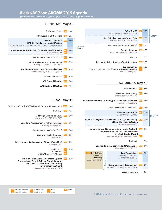# **Alaska ACP and AKOMA 2019 Agenda**

g Meeting at the Sheraton Hotel & Spa, Anchorage, AK—May 2 to 4. Room key appears at bottom left



**Molecular Diagnostics: The Benefits, Costs, and Reliability** YUK 10:30

**Immunization and Communication: How to Deal with ABC 11:30 Vaccine Hesitant and Anti-Vaccine Families** 

### THURSDAY, **May 2**nd

| Registration Begins LOB noon                                                                                                     |                |           |
|----------------------------------------------------------------------------------------------------------------------------------|----------------|-----------|
| Introduction to 2019 Meeting                                                                                                     |                | ABC 12:55 |
| <b>ABIM MOC MODULE:</b><br>2018-2019 Updates in Hospital Medicine<br>Julie McCormick, MD, FACP and Rebecca Andrews, MD, MS, FACP | <b>ABC</b>     | 1:00      |
| An Osteopathic Approach to Common Clinical Problems<br>Crystal Martin, DO                                                        | K-E<br>K-W     | 1:00      |
| Break – please visit the Exhibit Hall                                                                                            | $\overline{A}$ | 3:00      |
| Update on Osteoporosis Management<br>Bradley David Anawalt, MD, FACP                                                             | <b>ABC</b>     | 3:30      |
| <b>Adult Immunization 2019: Risk-Based Update</b><br>Robert Hopkins, Jr., MD, MACP, FAAP                                         | <b>ABC</b>     | 4:30      |
| Wine & Cheese Social                                                                                                             |                | 5:30      |
| <b>ACP Council Meeting</b>                                                                                                       | <b>YUK</b>     | 7:00      |
| <b>AKOMA Board Meeting</b>                                                                                                       | $K-W$          | 7:00      |

#### FRIDAY, **May 3**rd

**SUS** Sustina

| Registration/Breakfast/ACP Fellowship Pathway Table Discussion                                                                                                                                                      | LOB                    | 7:00      |
|---------------------------------------------------------------------------------------------------------------------------------------------------------------------------------------------------------------------|------------------------|-----------|
| Daily Intro                                                                                                                                                                                                         | <b>ABC</b>             | 7:55      |
| Old Drugs, Overlooked Drugs<br>Matthew Hollon, MD, MPH, FACP                                                                                                                                                        | <b>ABC</b>             | 8:00      |
| Long Term Management of Kidney Transplant<br>Christopher Blosser, MD                                                                                                                                                | <b>ABC</b>             | 9:00      |
| Break – please visit the Exhibit Hall                                                                                                                                                                               | А                      | 10:00     |
| <b>Update on Stroke Treatment</b><br>Rob Lada, MD                                                                                                                                                                   |                        | ABC 10:30 |
| Interventional Radiology Acute Stroke: What's New?<br>Le (Lucy) He, MD                                                                                                                                              | ABC 11:30              |           |
| <b>Buffet Lunch</b><br><b>ACP Town Hall</b><br>AKOMA Membership Meeting                                                                                                                                             | A<br><b>ABC</b><br>K-E | 12:30     |
| <b>Difficult Conversations Surrounding Opioids:</b><br>Deprescribing; Chronic Pain is a Chronic Disease;<br>and Opioid Use Disorders Complicating<br><b>Chronic Pain Treatment</b><br>Rebecca Andrews, MD, MS, FACP | <b>ABC</b>             | 1:30      |

**K-E** Kuskokwim East **A** Atrium **K-W** Kuskokwim West **YUK** Yukon

**ABC** Howard Rock Ballroom **LOB** Howard Rock Lobby

**Genetics/Epigenetics in Myeloid Malignancies ABC** *Hans-Peter Kiem, MD, PhD*  **Point of Care K-E/W Case Presentations ABC** 2:00 **Ultrasound** *Timothy Lemaire, DO,*  **Workshop** *and Martin Glaves, DO*  **Concurrent**  Concurrent *Andrew Butki, DO* **Recent Updates in Rheumatology ABC** *Elizabeth D. Ferucci, MD, MPH, FACP Meeting Adjourned* 4:00

*J. Ross Tanner, DO, FACP* 

**of Rapid Infection Detection**  *Andrea Caballero, MD* 

 **in a Fact-Resistant World**  *Robert Hopkins, Jr., MD, MACP, FAAP* 

*Box Lunch* 12:30

**Concurrent Sessions**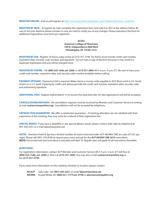**REGISTER ONLINE:** Visit us and register at http://www.acponline.org/about\_acp/chapters/ak/news\_meet.htm

**REGISTER BY MAIL:** To register by mail, complete the registration form and mail it to ACP at the address below. Be sure to list your daytime phone number in case we need to notify you of any changes. Please reproduce the form for additional registrations (one form per registrant).

#### **AC002 American College of Physicians 190 N. Independence Mall West Philadelphia, PA 19106-1572**

**REGISTER BY FAX:** Register 24 hours a day via fax at (215) 351-2799. Fax forms must include credit card number, expiration date, security code number, and signature. Do not mail a copy of the form because it may result in a duplicate registration and you will be charged twice.

**REGISTER BY PHONE:** Call **(800) 523-1546, ext. 2600**, or **(215) 351-2600** (M-F, 9 a.m.–5 p.m. ET). Be sure to have your credit card number, expiration date, and security code number available before calling.

**PAYMENT OPTIONS:** Payment in full is required. Make check or money order payable to ACP. Must remit in U.S. funds drawn on a U.S. bank. If paying by credit card, please provide the credit card number, expiration date, security code, and authorizing signature.

**ADDITIONAL FEES:** Register before March 13 to receive the early bird rate. On site registrations will still be accepted.

**CANCELLATIONS/REFUNDS:** All cancellation requests must be received by Member and Customer Service in writing (e-mail **custserv@acponline.org**). Cancellations will not be accepted by telephone.

**SATISFACTION GUARANTEE:** We offer a satisfaction quarantee—if meeting attendees are not satisfied with their experience at the meeting, they may write for a refund of their registration fee.

**SPECIAL NEEDS:** If you have a disability or any special dietary needs, please contact Julie Lake by telephone at 907-350-2351 or e-mail lake@mtaonline.net.

**HOTEL:** Sheraton Hotel & Spa has a limited number of rooms reserved under ACP AKOMA CME at a rate of \$101 per night. Please call (907) 276-8700 to reserve your room and ask for the *ACP AKOMA CME 2019* room block. *NOTE: Discounted rate and room block is only held until April 10. Regular rates will apply for all reservations thereafter.*

#### **QUESTIONS?**

For registration information, contact ACP Member and Customer Service (M-F, 9 a.m.–5 p.m. ET) toll-free at **(800) 523-1546, ext. 2600** or direct at **(215) 351-2600**. You may also e-mail **custserv@acponline.org** or fax **(215) 351-2799**.

If you need more information on the meeting schedule or location, please contact:

**AK ACP** Julie Lake , tel. **(907) 350-2351** or email **lake@mtaonline.net AKOMA** Krystal White, tel. (**800) 621-1773 ext. 8190** or **akoma@osteopathic.org**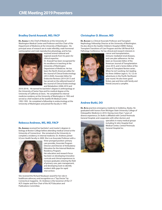#### **Bradley David Anawalt, MD, FACP**

**DR. ANAWALT** is the Chief of Medicine at the University of Washington Medical Center and Professor and Vice Chair of the Department of Medicine at the University of Washington. His principal areas of research are in male infertility, male hormonal contraception and male reproductive physiology, and he has



received several national and regional awards from his peers for clinical expertise. Dr. Anawalt has been recognized for his excellence in teaching at the University of Washington

Department of Medicine. He has been the North American editor for the Journal of Clinical Endocrinology (2012-2020), Associate Editor for Endocrine Reviews (2014-2017) and has served on the editorial board of the Journal of Clinical Endocrinology and Metabolism (2006-2010 and

2010-2014). He earned his bachelor's degree in anthropology at the University of Santa Clara and his medical degree at the University of California at Davis. He completed his internal medicine residency at the University of Washington in 1992 and served as chief resident at the Seattle VA Medical Center 1992-1993. He completed a fellowship in endocrinology at the University of Washington and joined the faculty in 1995.

#### **Christopher D. Blosser, MD**

**DR. BLOSSER** is a Clinical Associate Professor and Transplant Nephrology Fellowship Director at the University of Washington. He also directs the Seattle Children's Hospital-UWMC Kidney Transplant Transitions of Care Program and the UW Renal HLA Pathology Conference. He has clinical and research interests in



cancer and transplantation, immune-mediated renal diseases, and care plan adherence. He has been an Associate Editor of the American Journal of Transplantation since 2014, and is Series Editor of the Cancer & Transplant Review series. When he isn't working, he's leading his three children (ages 6, 10, 12) on adventures in the Pacific Northwest year-round. He also loves good fiction, jazz and time with family and friends around a campfire.

#### **Andrew Butki, DO**

**DR. BUTKI** practices emergency medicine in Soldotna, Alaska. He graduated with honors from Michigan State University College of Osteopathic Medicine in 2010. Having more than 7 years of diverse experience, Dr. Butki is affiliated with Central Peninsula General Hospital, and cooperates with other doctors and



specialists in many medical groups including St John Hospital And Medical Center, Central Peninsula General Hospital Inc.

#### **Rebecca Andrews, MS, MD, FACP**

**DR. ANDREWS** received her bachelor's and master's degrees in biology at Boston College before attending medical school at the University of Connecticut. She remained at the University to complete a residency in internal medicine. Dr. Andrews joined UConn Health faculty in 2009. She is an Associate Professor with a



three-pronged position: primary care provider, Associate Program Director and Director of Ambulatory Education for the Internal Medicine Residency Program.

Her education and research focus has been on developing innovative curricula and clinical experiences to increase graduates entering the field of primary care, pain management, and developing tools to identify resident skills gaps for rapid intervention.

She received the Richard Neubauer award for her role in healthcare advocacy and recognition as a "Top Doctor" by Connecticut magazine. Dr. Andrews is the Governor of the CT ACP chapter and Vice-Chair of the ACP Education and Publications Committee.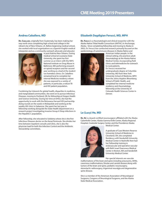#### **Andrea Caballero, MD**

**DR. CABALLERO**, originally from Guatemala, has been making her way north since completing high school and college in the vibrant city of New Orleans, LA. Before beginning medical school, she worked with local organizations as a Spanish‐English medical interpreter and as a community outreach advocate and educator



in post‐Katrina New Orleans. During medical school at Louisiana State University, she spent her first summer as an intern with the NIH's National Institute on Drug Abuse in Baltimore, MD performing research on opioid receptors and her second year working as a lead at the student run homeless clinics. Dr. Caballero remained local to complete her Internal Medicine residency where she was exposed to a variety of patients, in particular, a robust TB and HIV patient population.

Combining her interests for global health, disparities in medicine, and marginalized communities, she went on to pursue Infectious Diseases, moving to Portland, OR, for fellowship at Oregon Health and Science University. During her time at OHSU, she had the opportunity to work with the Botswana‐Harvard HIV partnership doing rounds on the wards in Molepolole and working at the weekly HIV clinic in Gabarone. She spent her last year in fellowship working alongside the State Health department on a research project investigating invasive Group A Strep infections in the Hepatitis C population.

After fellowship, she relocated to Soldotna where she is the first Infectious Diseases doctor on the Kenai Peninsula. She divides her time between inpatient consults and clinic, she is also the physician lead for both the Infection Control and the Antibiotic Stewardship committees.

#### **Elizabeth Dagdigian Ferucci, MD, MPH**

**DR. FERUCCI** is a rheumatologist and clinical researcher with the Alaska Native Tribal Health Consortium (ANTHC) in Anchorage, Alaska. Since completing fellowship and moving to Alaska in 2003, Dr. Ferucci has conducted research primarily focused on the epidemiology of autoimmune diseases in Alaska Native and



American Indian people. In the clinical setting, she practices adult rheumatology at the Alaska Native Medical Center, incorporating field clinics and telemedicine for outreach to rural patients. Dr. Ferucci received her undergraduate degree at Columbia University, MD from New York University School of Medicine, MPH from the Johns Hopkins Bloomberg School of Public Health, and completed her internal medicine residency and rheumatology fellowship at the University of Colorado Health Sciences Center in Denver.

#### **Le (Lucy) He, MD**

DR. He is a board-certified neurosurgeon affiliated with the Alaska CyberKnife Center, Alaska Gamma Knife Center, Alaska Regional Hospital, Creekside Surgery Center, and the Providence Alaska Medical Center.



A graduate of Case Western Reserve University School of Medicine in Cleveland, OH, she completed Residency with Vanderbilt University Medical Center in Nashville then had her Fellowship training in endovascular and operative vascular with Beth Israel Deaconess Medical Center in Boston, MA and Vanderbilt University Medical Center.

Her special interests are vascular

malformations of the brain and spine including aneurysms, AVMs, cavernous malformations, fistulas and carotid disease along with tumors of the brain and spine, pediatric neurosurgery, stereotactic radiosurgery, trigeminal neuralgia and degenerative spine disease.

She is a member of the American Association of Neurological Surgeons, Congress of Neurological Surgeons, and the Alaska State Medical Association.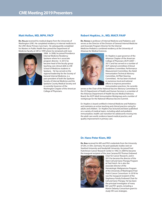#### **Matt Hollon, MD, MPH, FACP**

**DR. HOLLON** received his medical degree from the University of Washington (UW). He completed residency in internal medicine in the UW's Boise Primary Care track. He subsequently completed his Masters in Public Health then joined the Department of Medicine faculty at UW in 1999 where he remained until June



2008. In 2008, he joined Providence Internal Medicine Residency Spokane where he is associate program director. In 2013 he became head of the faculty group teaching core clinical skills to UW School of Medicine students in Spokane. He has served on the regional leadership for the Society of General Internal Medicine, is a past-president of both the Spokane Society of Internal Medicine and the Spokane County Medical Society and is currently Governor of the Washington Chapter of the American College of Physicians.

#### **Robert Hopkins, Jr., MD, MACP, FAAP**

**DR. HOPKINS** is professor of Internal Medicine and Pediatrics and serves as the Director of the Division of General Internal Medicine and Associate Program Director for the Internal Medicine-Pediatrics combined residency at the University of Arkansas for Medical Sciences.



Dr. Hopkins is past governor of the Arkansas Chapter of the American College of Physicians (ACP) [2007 – 2011] and has served on a number of ACP national committees (Clinical Guidelines Committee, Performance Measurement Committee, the Adult Immunization Technical Advisory Committee, ACPNet Steering Committee). He has been involved in numerous local and national efforts to improve preventive immunization practices. He currently

serves as the Chair of the National Vaccine Advisory Committee to the US Department of Health and Human Services; is a member of the Arkansas Department of Health Vaccine Medical Advisory Board, the ACIP Adult Immunization Workgroup and a number of workgroups for the National Influenza Vaccine Summit.

Dr. Hopkins is board certified in Internal Medicine and Pediatrics and maintains an active teaching and clinical practice caring for adults and children. Dr. Hopkins has lectured and been published on a variety of medical topics, including adult and pediatric immunization, health care transition for adolescents moving into the adult care world, evidence-based medical practice, and quality improvement in primary care.

#### **Dr. Hans-Peter Kiem, MD**

**DR. KIEM** received his MD and PhD credentials from the University of Ulm, in Ulm, Germany. His post-graduate studies were at Stanford University and Vanderbilt University. He joined Fred Hutchinson Cancer Research Center in 1992. In 2009 he became the inaugural recipient of the Jose Carreras/ED Thomas Endowed



Chair for Cancer Research, and in 2015 he became the director of the Stem Cell and Gene Therapy Program at Fred Hutch. He is also the associate director of the Hematologic Malignancies Program of the University of Washington/Fred Hutch Cancer Consortium. In 2018 he was the inaugural recipient of the Stephanus Family Endowed Chair for Cell and Gene Therapy. He has been the principal investigator of many R01 and P01 grants, including a Martin Delaney Consortium grant to study HIV cure strategies.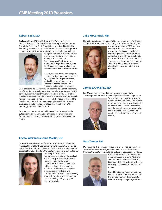#### **Robert Lada, MD**

**DR. LADA** attended Medical School at Case Western Reserve University in Cleveland, Ohio with a Fellowship in NeuroIntensive Care at the Cleveland Clinic Foundation. He is Board Certified in Neurology, as well as Sleep Medicine and Vascular Neurology. He is passionate about stroke prevention as well as caring for patients



along the continuum of emergent and acute care of cerebrovascular injuries. Serving as the Director of Cerebrovascular Medicine in the Summa Health System in Akron, Ohio for 10 years, his career was launched further into the field of Sleep Medicine.

In 2008, Dr. Lada decided to integrate his expertise in neurovascular medicine by accepting his assignment as the Medical Director of Neuroscience Services and Sleep Medicine at Providence Alaska Medical Center.

Since that time, he has further advanced the delivery of emergency care for stroke patients by launching the Telestroke program which serves our communities throughout the state of Alaska. This has now been integrated into the Providence telestroke program which now encompasses 7 states. More recently he has spearheaded the development of the thrombectomy program at PAMC. He also practices general neurology as a founding member of PEAK Neurology and Sleep Medicine, LLC.

He is happily married with 4 children and is enthusiastic for the outdoors in his new home State of Alaska. He enjoys hunting, fishing, snow machining and skiing, along with traveling with his family.

#### **Julie McCormick, MD**

**DR. MCCORMICK** is practicing general internal medicine in Anchorage, Alaska and currently the Alaska ACP governor. Prior to starting her



Anchorage practice in 2007, she was working in Juneau. Once back in Anchorage, she became involved in continuing medical education which naturally evolved into participation in the Alaska ACP. In addition to practice, she enjoys teaching third year students and participating with the WWAMI class. Looking forward to this year's meeting!

#### **James E. O'Malley, MD**

**DR. O'MALLEY** was born and raised by physician parents in Anchorage, and returned to town to practice General Surgery over



30 years ago. He has an interest in the History of Medicine and has developed a six hour comprehensive series of talks on the subject. He will be presenting one of these talks, one on the period of the primacy of American medicine which occurred at the turn of the 19th century.

#### **Crystal Alexandra Laura Martin, DO**

**DR. MARTIN** is an Assistant Professor of Osteopathic Principles and Practice at Pacific Northwest University in Yakima, WA. She studied public health at Columbia University in New York, attended medical school at Nova Southeastern University in Florida and completed her



residency in Osteopathic Neuromusculoskeletal Medicine at A.T Still University in Kirksville, Missouri. Her research interests include osteopathic manipulative medicine, public health, medical cannabis, autoimmune diseases, neurological diseases, sports medicine, and nutrition. Her hobbies include traveling around the world to find exciting new places for hiking, skiing, yoga, and playing the violin.

#### **Ross Tanner, DO**

**DR. TANNER** holds a Bachelor of Science in Biomedical Science from Texas A&M University and graduated medical school with honors from the University of North Texas-College of Osteopathic Medicine.



He is currently board certified by the American Board of Internal Medicine and the American Board of Clinical Lipidology. In 2005, he became the first Lipidologist (cholesterol specialist) in Alaska.

In addition to a very busy professional life, Dr. Tanner and his wife, Tamara, are the proud parents of three beautiful children. He enjoys anything outdoors.